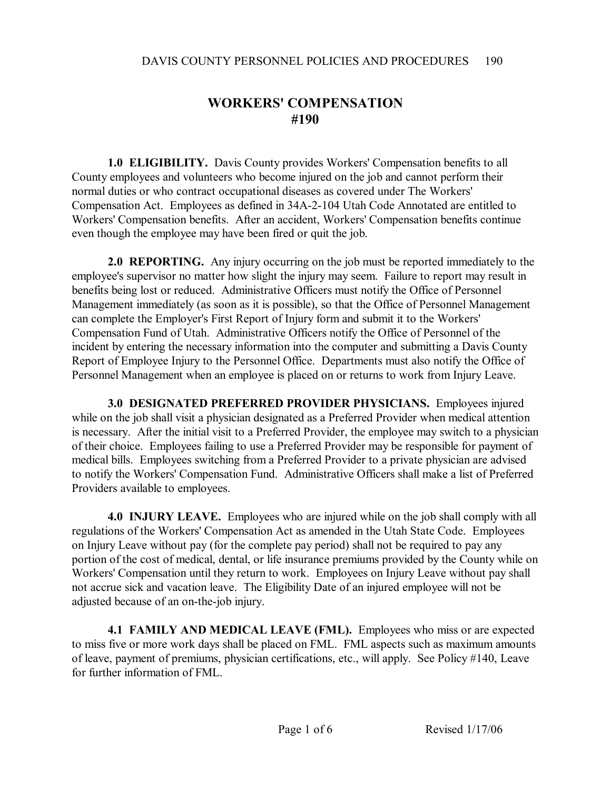## **WORKERS' COMPENSATION #190**

**1.0 ELIGIBILITY.** Davis County provides Workers' Compensation benefits to all County employees and volunteers who become injured on the job and cannot perform their normal duties or who contract occupational diseases as covered under The Workers' Compensation Act. Employees as defined in 34A-2-104 Utah Code Annotated are entitled to Workers' Compensation benefits. After an accident, Workers' Compensation benefits continue even though the employee may have been fired or quit the job.

**2.0 REPORTING.** Any injury occurring on the job must be reported immediately to the employee's supervisor no matter how slight the injury may seem. Failure to report may result in benefits being lost or reduced. Administrative Officers must notify the Office of Personnel Management immediately (as soon as it is possible), so that the Office of Personnel Management can complete the Employer's First Report of Injury form and submit it to the Workers' Compensation Fund of Utah. Administrative Officers notify the Office of Personnel of the incident by entering the necessary information into the computer and submitting a Davis County Report of Employee Injury to the Personnel Office. Departments must also notify the Office of Personnel Management when an employee is placed on or returns to work from Injury Leave.

**3.0 DESIGNATED PREFERRED PROVIDER PHYSICIANS.** Employees injured while on the job shall visit a physician designated as a Preferred Provider when medical attention is necessary. After the initial visit to a Preferred Provider, the employee may switch to a physician of their choice. Employees failing to use a Preferred Provider may be responsible for payment of medical bills. Employees switching from a Preferred Provider to a private physician are advised to notify the Workers' Compensation Fund. Administrative Officers shall make a list of Preferred Providers available to employees.

**4.0 INJURY LEAVE.** Employees who are injured while on the job shall comply with all regulations of the Workers' Compensation Act as amended in the Utah State Code. Employees on Injury Leave without pay (for the complete pay period) shall not be required to pay any portion of the cost of medical, dental, or life insurance premiums provided by the County while on Workers' Compensation until they return to work. Employees on Injury Leave without pay shall not accrue sick and vacation leave. The Eligibility Date of an injured employee will not be adjusted because of an on-the-job injury.

**4.1 FAMILY AND MEDICAL LEAVE (FML).** Employees who miss or are expected to miss five or more work days shall be placed on FML. FML aspects such as maximum amounts of leave, payment of premiums, physician certifications, etc., will apply. See Policy #140, Leave for further information of FML.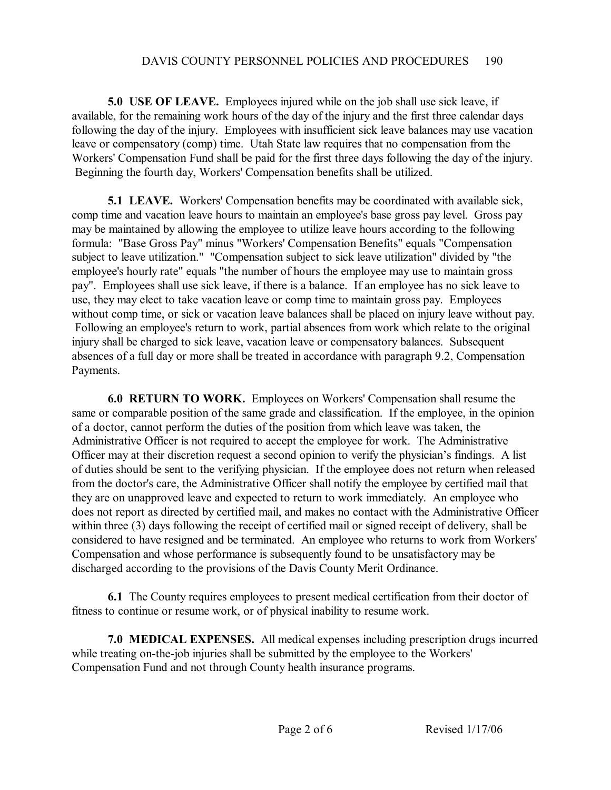**5.0 USE OF LEAVE.** Employees injured while on the job shall use sick leave, if available, for the remaining work hours of the day of the injury and the first three calendar days following the day of the injury. Employees with insufficient sick leave balances may use vacation leave or compensatory (comp) time. Utah State law requires that no compensation from the Workers' Compensation Fund shall be paid for the first three days following the day of the injury. Beginning the fourth day, Workers' Compensation benefits shall be utilized.

**5.1 LEAVE.** Workers' Compensation benefits may be coordinated with available sick, comp time and vacation leave hours to maintain an employee's base gross pay level. Gross pay may be maintained by allowing the employee to utilize leave hours according to the following formula: "Base Gross Pay" minus "Workers' Compensation Benefits" equals "Compensation subject to leave utilization." "Compensation subject to sick leave utilization" divided by "the employee's hourly rate" equals "the number of hours the employee may use to maintain gross pay". Employees shall use sick leave, if there is a balance. If an employee has no sick leave to use, they may elect to take vacation leave or comp time to maintain gross pay. Employees without comp time, or sick or vacation leave balances shall be placed on injury leave without pay. Following an employee's return to work, partial absences from work which relate to the original injury shall be charged to sick leave, vacation leave or compensatory balances. Subsequent absences of a full day or more shall be treated in accordance with paragraph 9.2, Compensation Payments.

**6.0 RETURN TO WORK.** Employees on Workers' Compensation shall resume the same or comparable position of the same grade and classification. If the employee, in the opinion of a doctor, cannot perform the duties of the position from which leave was taken, the Administrative Officer is not required to accept the employee for work. The Administrative Officer may at their discretion request a second opinion to verify the physician's findings. A list of duties should be sent to the verifying physician. If the employee does not return when released from the doctor's care, the Administrative Officer shall notify the employee by certified mail that they are on unapproved leave and expected to return to work immediately. An employee who does not report as directed by certified mail, and makes no contact with the Administrative Officer within three (3) days following the receipt of certified mail or signed receipt of delivery, shall be considered to have resigned and be terminated. An employee who returns to work from Workers' Compensation and whose performance is subsequently found to be unsatisfactory may be discharged according to the provisions of the Davis County Merit Ordinance.

**6.1** The County requires employees to present medical certification from their doctor of fitness to continue or resume work, or of physical inability to resume work.

**7.0 MEDICAL EXPENSES.** All medical expenses including prescription drugs incurred while treating on-the-job injuries shall be submitted by the employee to the Workers' Compensation Fund and not through County health insurance programs.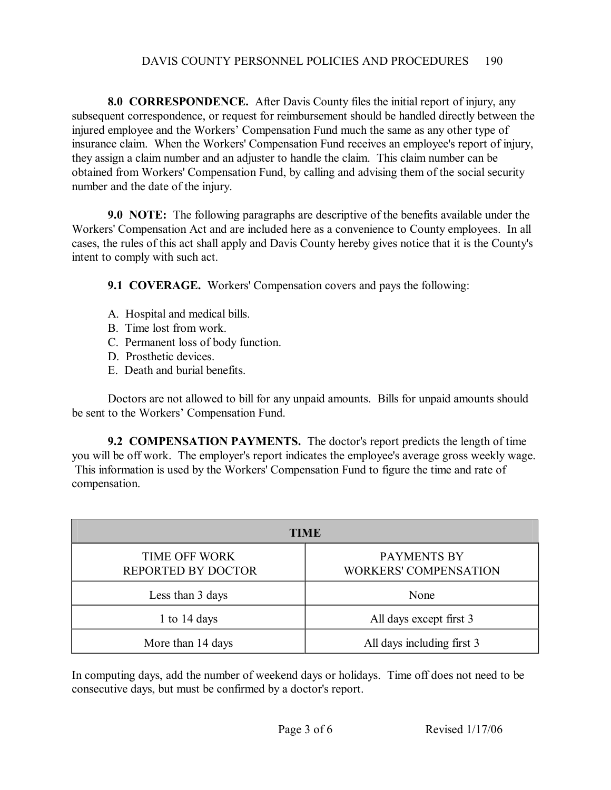## DAVIS COUNTY PERSONNEL POLICIES AND PROCEDURES 190

**8.0 CORRESPONDENCE.** After Davis County files the initial report of injury, any subsequent correspondence, or request for reimbursement should be handled directly between the injured employee and the Workers' Compensation Fund much the same as any other type of insurance claim. When the Workers' Compensation Fund receives an employee's report of injury, they assign a claim number and an adjuster to handle the claim. This claim number can be obtained from Workers' Compensation Fund, by calling and advising them of the social security number and the date of the injury.

**9.0 NOTE:** The following paragraphs are descriptive of the benefits available under the Workers' Compensation Act and are included here as a convenience to County employees. In all cases, the rules of this act shall apply and Davis County hereby gives notice that it is the County's intent to comply with such act.

**9.1 COVERAGE.** Workers' Compensation covers and pays the following:

- A. Hospital and medical bills.
- B. Time lost from work.
- C. Permanent loss of body function.
- D. Prosthetic devices.
- E. Death and burial benefits.

Doctors are not allowed to bill for any unpaid amounts. Bills for unpaid amounts should be sent to the Workers' Compensation Fund.

**9.2 COMPENSATION PAYMENTS.** The doctor's report predicts the length of time you will be off work. The employer's report indicates the employee's average gross weekly wage. This information is used by the Workers' Compensation Fund to figure the time and rate of compensation.

| TIME                                              |                                             |
|---------------------------------------------------|---------------------------------------------|
| <b>TIME OFF WORK</b><br><b>REPORTED BY DOCTOR</b> | PAYMENTS BY<br><b>WORKERS' COMPENSATION</b> |
| Less than 3 days                                  | None                                        |
| 1 to $14 \text{ days}$                            | All days except first 3                     |
| More than 14 days                                 | All days including first 3                  |

In computing days, add the number of weekend days or holidays. Time off does not need to be consecutive days, but must be confirmed by a doctor's report.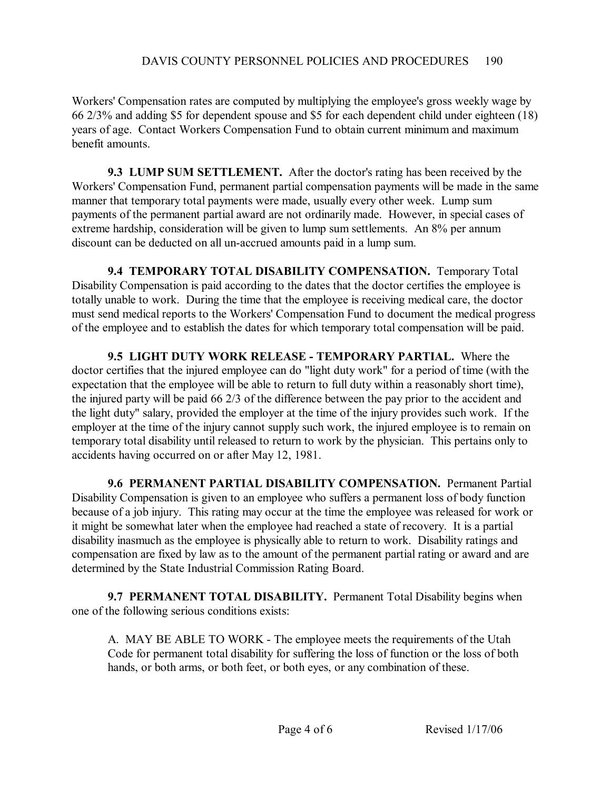Workers' Compensation rates are computed by multiplying the employee's gross weekly wage by 66 2/3% and adding \$5 for dependent spouse and \$5 for each dependent child under eighteen (18) years of age. Contact Workers Compensation Fund to obtain current minimum and maximum benefit amounts.

**9.3 LUMP SUM SETTLEMENT.** After the doctor's rating has been received by the Workers' Compensation Fund, permanent partial compensation payments will be made in the same manner that temporary total payments were made, usually every other week. Lump sum payments of the permanent partial award are not ordinarily made. However, in special cases of extreme hardship, consideration will be given to lump sum settlements. An 8% per annum discount can be deducted on all un-accrued amounts paid in a lump sum.

**9.4 TEMPORARY TOTAL DISABILITY COMPENSATION.** Temporary Total Disability Compensation is paid according to the dates that the doctor certifies the employee is totally unable to work. During the time that the employee is receiving medical care, the doctor must send medical reports to the Workers' Compensation Fund to document the medical progress of the employee and to establish the dates for which temporary total compensation will be paid.

**9.5 LIGHT DUTY WORK RELEASE TEMPORARY PARTIAL.** Where the doctor certifies that the injured employee can do "light duty work" for a period of time (with the expectation that the employee will be able to return to full duty within a reasonably short time), the injured party will be paid 66 2/3 of the difference between the pay prior to the accident and the light duty" salary, provided the employer at the time of the injury provides such work. If the employer at the time of the injury cannot supply such work, the injured employee is to remain on temporary total disability until released to return to work by the physician. This pertains only to accidents having occurred on or after May 12, 1981.

**9.6 PERMANENT PARTIAL DISABILITY COMPENSATION.** Permanent Partial Disability Compensation is given to an employee who suffers a permanent loss of body function because of a job injury. This rating may occur at the time the employee was released for work or it might be somewhat later when the employee had reached a state of recovery. It is a partial disability inasmuch as the employee is physically able to return to work. Disability ratings and compensation are fixed by law as to the amount of the permanent partial rating or award and are determined by the State Industrial Commission Rating Board.

**9.7 PERMANENT TOTAL DISABILITY.** Permanent Total Disability begins when one of the following serious conditions exists:

A. MAY BE ABLE TO WORK - The employee meets the requirements of the Utah Code for permanent total disability for suffering the loss of function or the loss of both hands, or both arms, or both feet, or both eyes, or any combination of these.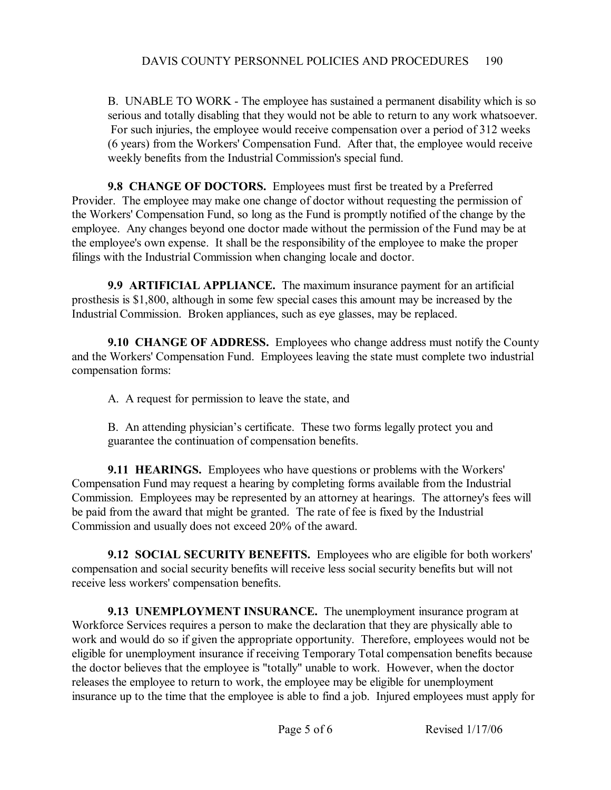B. UNABLE TO WORK - The employee has sustained a permanent disability which is so serious and totally disabling that they would not be able to return to any work whatsoever. For such injuries, the employee would receive compensation over a period of 312 weeks (6 years) from the Workers' Compensation Fund. After that, the employee would receive weekly benefits from the Industrial Commission's special fund.

**9.8 CHANGE OF DOCTORS.** Employees must first be treated by a Preferred Provider. The employee may make one change of doctor without requesting the permission of the Workers' Compensation Fund, so long as the Fund is promptly notified of the change by the employee. Any changes beyond one doctor made without the permission of the Fund may be at the employee's own expense. It shall be the responsibility of the employee to make the proper filings with the Industrial Commission when changing locale and doctor.

**9.9 ARTIFICIAL APPLIANCE.** The maximum insurance payment for an artificial prosthesis is \$1,800, although in some few special cases this amount may be increased by the Industrial Commission. Broken appliances, such as eye glasses, may be replaced.

**9.10 CHANGE OF ADDRESS.** Employees who change address must notify the County and the Workers' Compensation Fund. Employees leaving the state must complete two industrial compensation forms:

A. A request for permission to leave the state, and

B. An attending physician's certificate. These two forms legally protect you and guarantee the continuation of compensation benefits.

**9.11 HEARINGS.** Employees who have questions or problems with the Workers' Compensation Fund may request a hearing by completing forms available from the Industrial Commission. Employees may be represented by an attorney at hearings. The attorney's fees will be paid from the award that might be granted. The rate of fee is fixed by the Industrial Commission and usually does not exceed 20% of the award.

**9.12 SOCIAL SECURITY BENEFITS.** Employees who are eligible for both workers' compensation and social security benefits will receive less social security benefits but will not receive less workers' compensation benefits.

**9.13 UNEMPLOYMENT INSURANCE.** The unemployment insurance program at Workforce Services requires a person to make the declaration that they are physically able to work and would do so if given the appropriate opportunity. Therefore, employees would not be eligible for unemployment insurance if receiving Temporary Total compensation benefits because the doctor believes that the employee is "totally" unable to work. However, when the doctor releases the employee to return to work, the employee may be eligible for unemployment insurance up to the time that the employee is able to find a job. Injured employees must apply for

Page 5 of 6 Revised 1/17/06